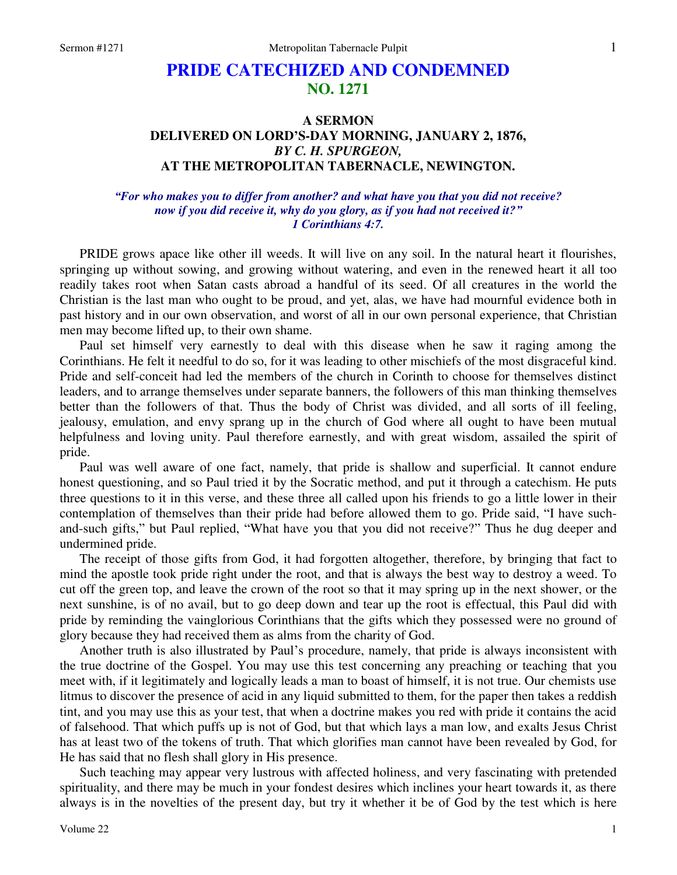# **PRIDE CATECHIZED AND CONDEMNED NO. 1271**

## **A SERMON DELIVERED ON LORD'S-DAY MORNING, JANUARY 2, 1876,**  *BY C. H. SPURGEON,*  **AT THE METROPOLITAN TABERNACLE, NEWINGTON.**

#### *"For who makes you to differ from another? and what have you that you did not receive? now if you did receive it, why do you glory, as if you had not received it?" 1 Corinthians 4:7.*

PRIDE grows apace like other ill weeds. It will live on any soil. In the natural heart it flourishes, springing up without sowing, and growing without watering, and even in the renewed heart it all too readily takes root when Satan casts abroad a handful of its seed. Of all creatures in the world the Christian is the last man who ought to be proud, and yet, alas, we have had mournful evidence both in past history and in our own observation, and worst of all in our own personal experience, that Christian men may become lifted up, to their own shame.

Paul set himself very earnestly to deal with this disease when he saw it raging among the Corinthians. He felt it needful to do so, for it was leading to other mischiefs of the most disgraceful kind. Pride and self-conceit had led the members of the church in Corinth to choose for themselves distinct leaders, and to arrange themselves under separate banners, the followers of this man thinking themselves better than the followers of that. Thus the body of Christ was divided, and all sorts of ill feeling, jealousy, emulation, and envy sprang up in the church of God where all ought to have been mutual helpfulness and loving unity. Paul therefore earnestly, and with great wisdom, assailed the spirit of pride.

Paul was well aware of one fact, namely, that pride is shallow and superficial. It cannot endure honest questioning, and so Paul tried it by the Socratic method, and put it through a catechism. He puts three questions to it in this verse, and these three all called upon his friends to go a little lower in their contemplation of themselves than their pride had before allowed them to go. Pride said, "I have suchand-such gifts," but Paul replied, "What have you that you did not receive?" Thus he dug deeper and undermined pride.

The receipt of those gifts from God, it had forgotten altogether, therefore, by bringing that fact to mind the apostle took pride right under the root, and that is always the best way to destroy a weed. To cut off the green top, and leave the crown of the root so that it may spring up in the next shower, or the next sunshine, is of no avail, but to go deep down and tear up the root is effectual, this Paul did with pride by reminding the vainglorious Corinthians that the gifts which they possessed were no ground of glory because they had received them as alms from the charity of God.

Another truth is also illustrated by Paul's procedure, namely, that pride is always inconsistent with the true doctrine of the Gospel. You may use this test concerning any preaching or teaching that you meet with, if it legitimately and logically leads a man to boast of himself, it is not true. Our chemists use litmus to discover the presence of acid in any liquid submitted to them, for the paper then takes a reddish tint, and you may use this as your test, that when a doctrine makes you red with pride it contains the acid of falsehood. That which puffs up is not of God, but that which lays a man low, and exalts Jesus Christ has at least two of the tokens of truth. That which glorifies man cannot have been revealed by God, for He has said that no flesh shall glory in His presence.

Such teaching may appear very lustrous with affected holiness, and very fascinating with pretended spirituality, and there may be much in your fondest desires which inclines your heart towards it, as there always is in the novelties of the present day, but try it whether it be of God by the test which is here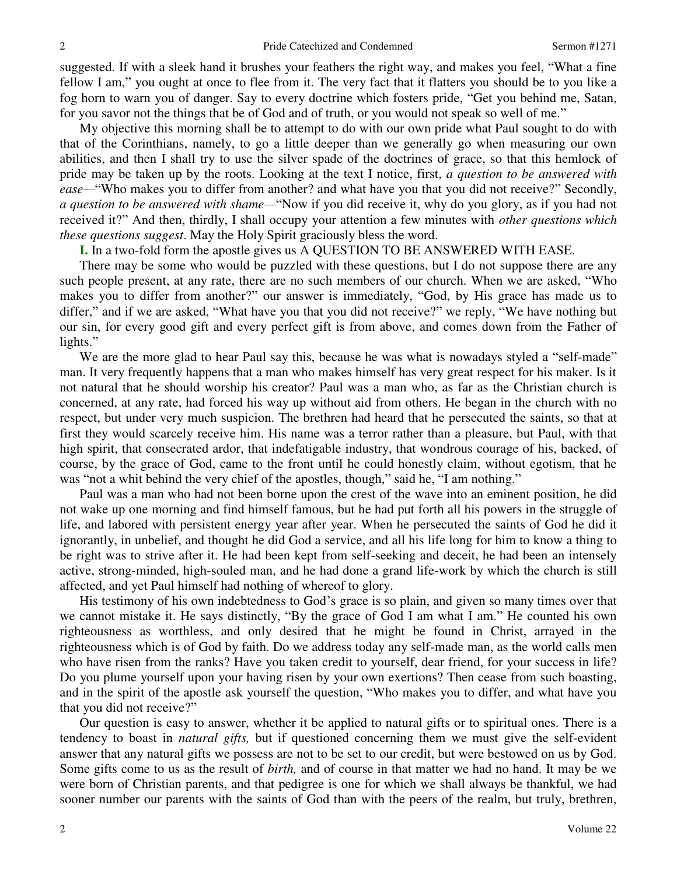suggested. If with a sleek hand it brushes your feathers the right way, and makes you feel, "What a fine fellow I am," you ought at once to flee from it. The very fact that it flatters you should be to you like a fog horn to warn you of danger. Say to every doctrine which fosters pride, "Get you behind me, Satan, for you savor not the things that be of God and of truth, or you would not speak so well of me."

My objective this morning shall be to attempt to do with our own pride what Paul sought to do with that of the Corinthians, namely, to go a little deeper than we generally go when measuring our own abilities, and then I shall try to use the silver spade of the doctrines of grace, so that this hemlock of pride may be taken up by the roots. Looking at the text I notice, first, *a question to be answered with ease—*"Who makes you to differ from another? and what have you that you did not receive?" Secondly, *a question to be answered with shame—*"Now if you did receive it, why do you glory, as if you had not received it?" And then, thirdly, I shall occupy your attention a few minutes with *other questions which these questions suggest*. May the Holy Spirit graciously bless the word.

**I.** In a two-fold form the apostle gives us A QUESTION TO BE ANSWERED WITH EASE.

There may be some who would be puzzled with these questions, but I do not suppose there are any such people present, at any rate, there are no such members of our church. When we are asked, "Who makes you to differ from another?" our answer is immediately, "God, by His grace has made us to differ," and if we are asked, "What have you that you did not receive?" we reply, "We have nothing but our sin, for every good gift and every perfect gift is from above, and comes down from the Father of lights."

We are the more glad to hear Paul say this, because he was what is nowadays styled a "self-made" man. It very frequently happens that a man who makes himself has very great respect for his maker. Is it not natural that he should worship his creator? Paul was a man who, as far as the Christian church is concerned, at any rate, had forced his way up without aid from others. He began in the church with no respect, but under very much suspicion. The brethren had heard that he persecuted the saints, so that at first they would scarcely receive him. His name was a terror rather than a pleasure, but Paul, with that high spirit, that consecrated ardor, that indefatigable industry, that wondrous courage of his, backed, of course, by the grace of God, came to the front until he could honestly claim, without egotism, that he was "not a whit behind the very chief of the apostles, though," said he, "I am nothing."

Paul was a man who had not been borne upon the crest of the wave into an eminent position, he did not wake up one morning and find himself famous, but he had put forth all his powers in the struggle of life, and labored with persistent energy year after year. When he persecuted the saints of God he did it ignorantly, in unbelief, and thought he did God a service, and all his life long for him to know a thing to be right was to strive after it. He had been kept from self-seeking and deceit, he had been an intensely active, strong-minded, high-souled man, and he had done a grand life-work by which the church is still affected, and yet Paul himself had nothing of whereof to glory.

His testimony of his own indebtedness to God's grace is so plain, and given so many times over that we cannot mistake it. He says distinctly, "By the grace of God I am what I am." He counted his own righteousness as worthless, and only desired that he might be found in Christ, arrayed in the righteousness which is of God by faith. Do we address today any self-made man, as the world calls men who have risen from the ranks? Have you taken credit to yourself, dear friend, for your success in life? Do you plume yourself upon your having risen by your own exertions? Then cease from such boasting, and in the spirit of the apostle ask yourself the question, "Who makes you to differ, and what have you that you did not receive?"

Our question is easy to answer, whether it be applied to natural gifts or to spiritual ones. There is a tendency to boast in *natural gifts,* but if questioned concerning them we must give the self-evident answer that any natural gifts we possess are not to be set to our credit, but were bestowed on us by God. Some gifts come to us as the result of *birth,* and of course in that matter we had no hand. It may be we were born of Christian parents, and that pedigree is one for which we shall always be thankful, we had sooner number our parents with the saints of God than with the peers of the realm, but truly, brethren,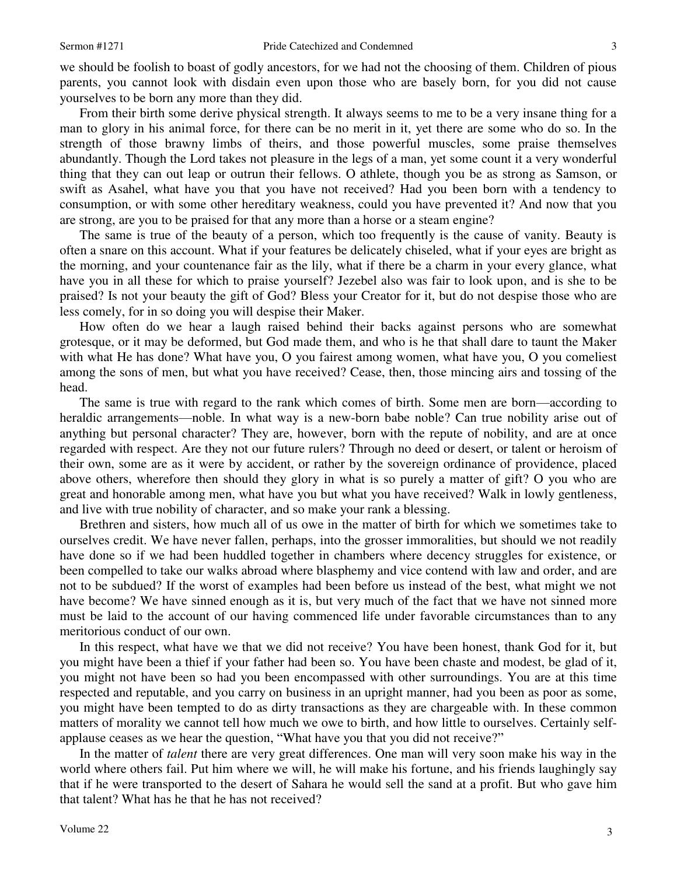we should be foolish to boast of godly ancestors, for we had not the choosing of them. Children of pious parents, you cannot look with disdain even upon those who are basely born, for you did not cause yourselves to be born any more than they did.

From their birth some derive physical strength. It always seems to me to be a very insane thing for a man to glory in his animal force, for there can be no merit in it, yet there are some who do so. In the strength of those brawny limbs of theirs, and those powerful muscles, some praise themselves abundantly. Though the Lord takes not pleasure in the legs of a man, yet some count it a very wonderful thing that they can out leap or outrun their fellows. O athlete, though you be as strong as Samson, or swift as Asahel, what have you that you have not received? Had you been born with a tendency to consumption, or with some other hereditary weakness, could you have prevented it? And now that you are strong, are you to be praised for that any more than a horse or a steam engine?

The same is true of the beauty of a person, which too frequently is the cause of vanity. Beauty is often a snare on this account. What if your features be delicately chiseled, what if your eyes are bright as the morning, and your countenance fair as the lily, what if there be a charm in your every glance, what have you in all these for which to praise yourself? Jezebel also was fair to look upon, and is she to be praised? Is not your beauty the gift of God? Bless your Creator for it, but do not despise those who are less comely, for in so doing you will despise their Maker.

How often do we hear a laugh raised behind their backs against persons who are somewhat grotesque, or it may be deformed, but God made them, and who is he that shall dare to taunt the Maker with what He has done? What have you, O you fairest among women, what have you, O you comeliest among the sons of men, but what you have received? Cease, then, those mincing airs and tossing of the head.

The same is true with regard to the rank which comes of birth. Some men are born—according to heraldic arrangements—noble. In what way is a new-born babe noble? Can true nobility arise out of anything but personal character? They are, however, born with the repute of nobility, and are at once regarded with respect. Are they not our future rulers? Through no deed or desert, or talent or heroism of their own, some are as it were by accident, or rather by the sovereign ordinance of providence, placed above others, wherefore then should they glory in what is so purely a matter of gift? O you who are great and honorable among men, what have you but what you have received? Walk in lowly gentleness, and live with true nobility of character, and so make your rank a blessing.

Brethren and sisters, how much all of us owe in the matter of birth for which we sometimes take to ourselves credit. We have never fallen, perhaps, into the grosser immoralities, but should we not readily have done so if we had been huddled together in chambers where decency struggles for existence, or been compelled to take our walks abroad where blasphemy and vice contend with law and order, and are not to be subdued? If the worst of examples had been before us instead of the best, what might we not have become? We have sinned enough as it is, but very much of the fact that we have not sinned more must be laid to the account of our having commenced life under favorable circumstances than to any meritorious conduct of our own.

In this respect, what have we that we did not receive? You have been honest, thank God for it, but you might have been a thief if your father had been so. You have been chaste and modest, be glad of it, you might not have been so had you been encompassed with other surroundings. You are at this time respected and reputable, and you carry on business in an upright manner, had you been as poor as some, you might have been tempted to do as dirty transactions as they are chargeable with. In these common matters of morality we cannot tell how much we owe to birth, and how little to ourselves. Certainly selfapplause ceases as we hear the question, "What have you that you did not receive?"

In the matter of *talent* there are very great differences. One man will very soon make his way in the world where others fail. Put him where we will, he will make his fortune, and his friends laughingly say that if he were transported to the desert of Sahara he would sell the sand at a profit. But who gave him that talent? What has he that he has not received?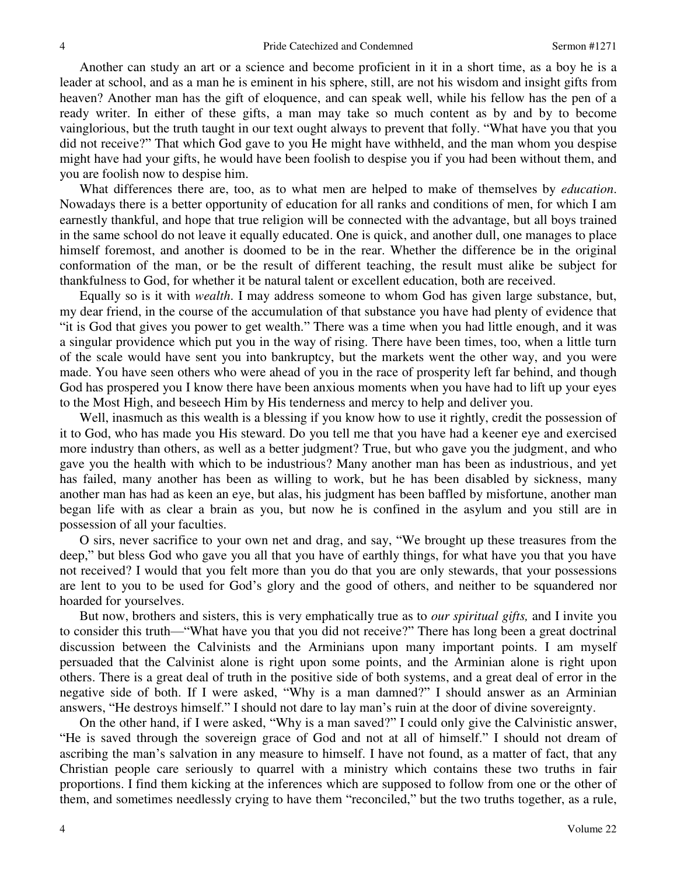Another can study an art or a science and become proficient in it in a short time, as a boy he is a leader at school, and as a man he is eminent in his sphere, still, are not his wisdom and insight gifts from heaven? Another man has the gift of eloquence, and can speak well, while his fellow has the pen of a ready writer. In either of these gifts, a man may take so much content as by and by to become vainglorious, but the truth taught in our text ought always to prevent that folly. "What have you that you did not receive?" That which God gave to you He might have withheld, and the man whom you despise might have had your gifts, he would have been foolish to despise you if you had been without them, and you are foolish now to despise him.

What differences there are, too, as to what men are helped to make of themselves by *education*. Nowadays there is a better opportunity of education for all ranks and conditions of men, for which I am earnestly thankful, and hope that true religion will be connected with the advantage, but all boys trained in the same school do not leave it equally educated. One is quick, and another dull, one manages to place himself foremost, and another is doomed to be in the rear. Whether the difference be in the original conformation of the man, or be the result of different teaching, the result must alike be subject for thankfulness to God, for whether it be natural talent or excellent education, both are received.

Equally so is it with *wealth*. I may address someone to whom God has given large substance, but, my dear friend, in the course of the accumulation of that substance you have had plenty of evidence that "it is God that gives you power to get wealth." There was a time when you had little enough, and it was a singular providence which put you in the way of rising. There have been times, too, when a little turn of the scale would have sent you into bankruptcy, but the markets went the other way, and you were made. You have seen others who were ahead of you in the race of prosperity left far behind, and though God has prospered you I know there have been anxious moments when you have had to lift up your eyes to the Most High, and beseech Him by His tenderness and mercy to help and deliver you.

Well, inasmuch as this wealth is a blessing if you know how to use it rightly, credit the possession of it to God, who has made you His steward. Do you tell me that you have had a keener eye and exercised more industry than others, as well as a better judgment? True, but who gave you the judgment, and who gave you the health with which to be industrious? Many another man has been as industrious, and yet has failed, many another has been as willing to work, but he has been disabled by sickness, many another man has had as keen an eye, but alas, his judgment has been baffled by misfortune, another man began life with as clear a brain as you, but now he is confined in the asylum and you still are in possession of all your faculties.

O sirs, never sacrifice to your own net and drag, and say, "We brought up these treasures from the deep," but bless God who gave you all that you have of earthly things, for what have you that you have not received? I would that you felt more than you do that you are only stewards, that your possessions are lent to you to be used for God's glory and the good of others, and neither to be squandered nor hoarded for yourselves.

But now, brothers and sisters, this is very emphatically true as to *our spiritual gifts,* and I invite you to consider this truth—"What have you that you did not receive?" There has long been a great doctrinal discussion between the Calvinists and the Arminians upon many important points. I am myself persuaded that the Calvinist alone is right upon some points, and the Arminian alone is right upon others. There is a great deal of truth in the positive side of both systems, and a great deal of error in the negative side of both. If I were asked, "Why is a man damned?" I should answer as an Arminian answers, "He destroys himself." I should not dare to lay man's ruin at the door of divine sovereignty.

On the other hand, if I were asked, "Why is a man saved?" I could only give the Calvinistic answer, "He is saved through the sovereign grace of God and not at all of himself." I should not dream of ascribing the man's salvation in any measure to himself. I have not found, as a matter of fact, that any Christian people care seriously to quarrel with a ministry which contains these two truths in fair proportions. I find them kicking at the inferences which are supposed to follow from one or the other of them, and sometimes needlessly crying to have them "reconciled," but the two truths together, as a rule,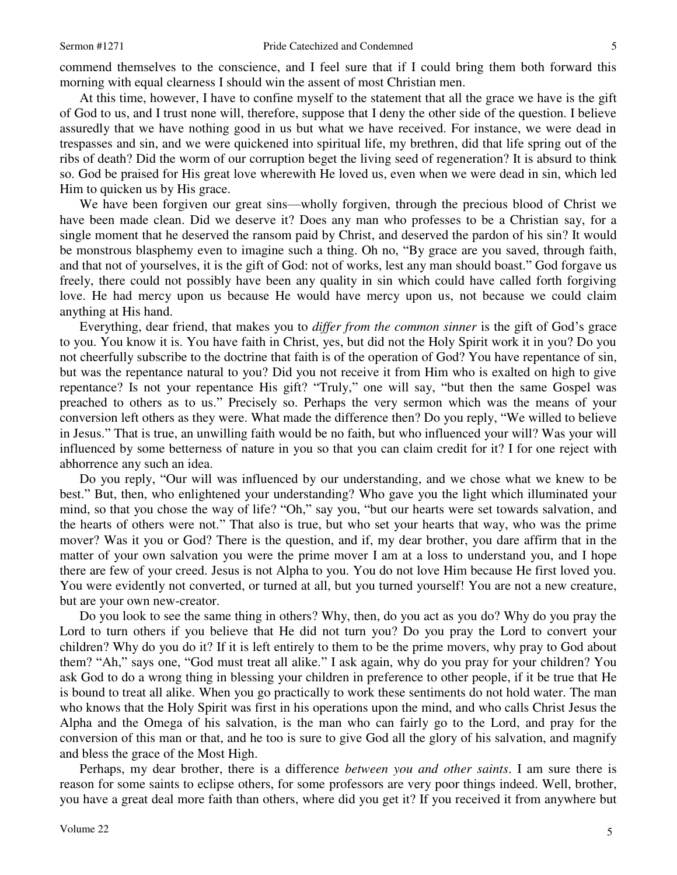commend themselves to the conscience, and I feel sure that if I could bring them both forward this morning with equal clearness I should win the assent of most Christian men.

At this time, however, I have to confine myself to the statement that all the grace we have is the gift of God to us, and I trust none will, therefore, suppose that I deny the other side of the question. I believe assuredly that we have nothing good in us but what we have received. For instance, we were dead in trespasses and sin, and we were quickened into spiritual life, my brethren, did that life spring out of the ribs of death? Did the worm of our corruption beget the living seed of regeneration? It is absurd to think so. God be praised for His great love wherewith He loved us, even when we were dead in sin, which led Him to quicken us by His grace.

We have been forgiven our great sins—wholly forgiven, through the precious blood of Christ we have been made clean. Did we deserve it? Does any man who professes to be a Christian say, for a single moment that he deserved the ransom paid by Christ, and deserved the pardon of his sin? It would be monstrous blasphemy even to imagine such a thing. Oh no, "By grace are you saved, through faith, and that not of yourselves, it is the gift of God: not of works, lest any man should boast." God forgave us freely, there could not possibly have been any quality in sin which could have called forth forgiving love. He had mercy upon us because He would have mercy upon us, not because we could claim anything at His hand.

Everything, dear friend, that makes you to *differ from the common sinner* is the gift of God's grace to you. You know it is. You have faith in Christ, yes, but did not the Holy Spirit work it in you? Do you not cheerfully subscribe to the doctrine that faith is of the operation of God? You have repentance of sin, but was the repentance natural to you? Did you not receive it from Him who is exalted on high to give repentance? Is not your repentance His gift? "Truly," one will say, "but then the same Gospel was preached to others as to us." Precisely so. Perhaps the very sermon which was the means of your conversion left others as they were. What made the difference then? Do you reply, "We willed to believe in Jesus." That is true, an unwilling faith would be no faith, but who influenced your will? Was your will influenced by some betterness of nature in you so that you can claim credit for it? I for one reject with abhorrence any such an idea.

Do you reply, "Our will was influenced by our understanding, and we chose what we knew to be best." But, then, who enlightened your understanding? Who gave you the light which illuminated your mind, so that you chose the way of life? "Oh," say you, "but our hearts were set towards salvation, and the hearts of others were not." That also is true, but who set your hearts that way, who was the prime mover? Was it you or God? There is the question, and if, my dear brother, you dare affirm that in the matter of your own salvation you were the prime mover I am at a loss to understand you, and I hope there are few of your creed. Jesus is not Alpha to you. You do not love Him because He first loved you. You were evidently not converted, or turned at all, but you turned yourself! You are not a new creature, but are your own new-creator.

Do you look to see the same thing in others? Why, then, do you act as you do? Why do you pray the Lord to turn others if you believe that He did not turn you? Do you pray the Lord to convert your children? Why do you do it? If it is left entirely to them to be the prime movers, why pray to God about them? "Ah," says one, "God must treat all alike." I ask again, why do you pray for your children? You ask God to do a wrong thing in blessing your children in preference to other people, if it be true that He is bound to treat all alike. When you go practically to work these sentiments do not hold water. The man who knows that the Holy Spirit was first in his operations upon the mind, and who calls Christ Jesus the Alpha and the Omega of his salvation, is the man who can fairly go to the Lord, and pray for the conversion of this man or that, and he too is sure to give God all the glory of his salvation, and magnify and bless the grace of the Most High.

Perhaps, my dear brother, there is a difference *between you and other saints*. I am sure there is reason for some saints to eclipse others, for some professors are very poor things indeed. Well, brother, you have a great deal more faith than others, where did you get it? If you received it from anywhere but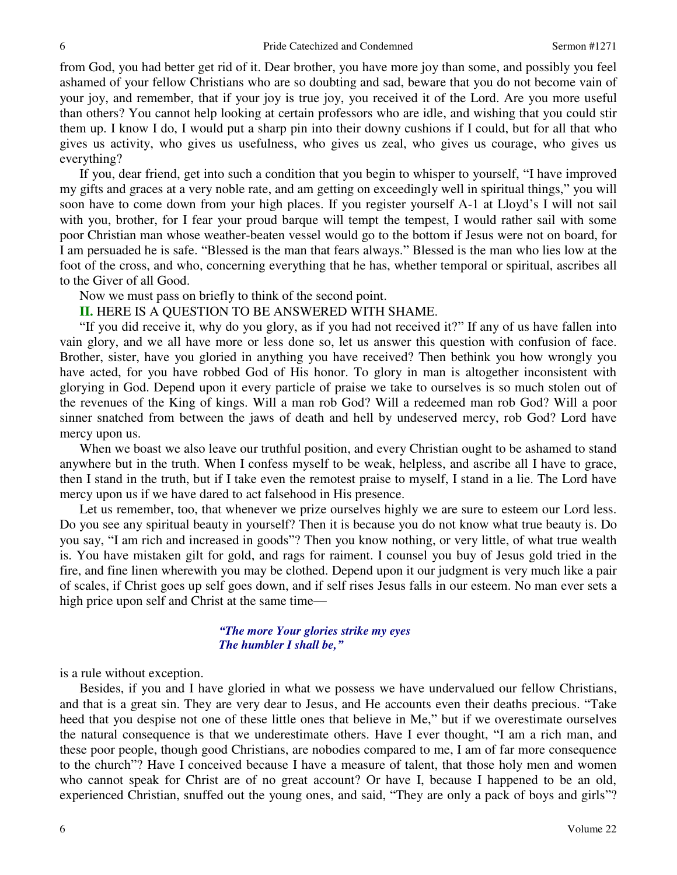from God, you had better get rid of it. Dear brother, you have more joy than some, and possibly you feel ashamed of your fellow Christians who are so doubting and sad, beware that you do not become vain of your joy, and remember, that if your joy is true joy, you received it of the Lord. Are you more useful than others? You cannot help looking at certain professors who are idle, and wishing that you could stir them up. I know I do, I would put a sharp pin into their downy cushions if I could, but for all that who gives us activity, who gives us usefulness, who gives us zeal, who gives us courage, who gives us everything?

If you, dear friend, get into such a condition that you begin to whisper to yourself, "I have improved my gifts and graces at a very noble rate, and am getting on exceedingly well in spiritual things," you will soon have to come down from your high places. If you register yourself A-1 at Lloyd's I will not sail with you, brother, for I fear your proud barque will tempt the tempest, I would rather sail with some poor Christian man whose weather-beaten vessel would go to the bottom if Jesus were not on board, for I am persuaded he is safe. "Blessed is the man that fears always." Blessed is the man who lies low at the foot of the cross, and who, concerning everything that he has, whether temporal or spiritual, ascribes all to the Giver of all Good.

Now we must pass on briefly to think of the second point.

#### **II.** HERE IS A QUESTION TO BE ANSWERED WITH SHAME.

"If you did receive it, why do you glory, as if you had not received it?" If any of us have fallen into vain glory, and we all have more or less done so, let us answer this question with confusion of face. Brother, sister, have you gloried in anything you have received? Then bethink you how wrongly you have acted, for you have robbed God of His honor. To glory in man is altogether inconsistent with glorying in God. Depend upon it every particle of praise we take to ourselves is so much stolen out of the revenues of the King of kings. Will a man rob God? Will a redeemed man rob God? Will a poor sinner snatched from between the jaws of death and hell by undeserved mercy, rob God? Lord have mercy upon us.

When we boast we also leave our truthful position, and every Christian ought to be ashamed to stand anywhere but in the truth. When I confess myself to be weak, helpless, and ascribe all I have to grace, then I stand in the truth, but if I take even the remotest praise to myself, I stand in a lie. The Lord have mercy upon us if we have dared to act falsehood in His presence.

Let us remember, too, that whenever we prize ourselves highly we are sure to esteem our Lord less. Do you see any spiritual beauty in yourself? Then it is because you do not know what true beauty is. Do you say, "I am rich and increased in goods"? Then you know nothing, or very little, of what true wealth is. You have mistaken gilt for gold, and rags for raiment. I counsel you buy of Jesus gold tried in the fire, and fine linen wherewith you may be clothed. Depend upon it our judgment is very much like a pair of scales, if Christ goes up self goes down, and if self rises Jesus falls in our esteem. No man ever sets a high price upon self and Christ at the same time—

#### *"The more Your glories strike my eyes The humbler I shall be,"*

is a rule without exception.

 Besides, if you and I have gloried in what we possess we have undervalued our fellow Christians, and that is a great sin. They are very dear to Jesus, and He accounts even their deaths precious. "Take heed that you despise not one of these little ones that believe in Me," but if we overestimate ourselves the natural consequence is that we underestimate others. Have I ever thought, "I am a rich man, and these poor people, though good Christians, are nobodies compared to me, I am of far more consequence to the church"? Have I conceived because I have a measure of talent, that those holy men and women who cannot speak for Christ are of no great account? Or have I, because I happened to be an old, experienced Christian, snuffed out the young ones, and said, "They are only a pack of boys and girls"?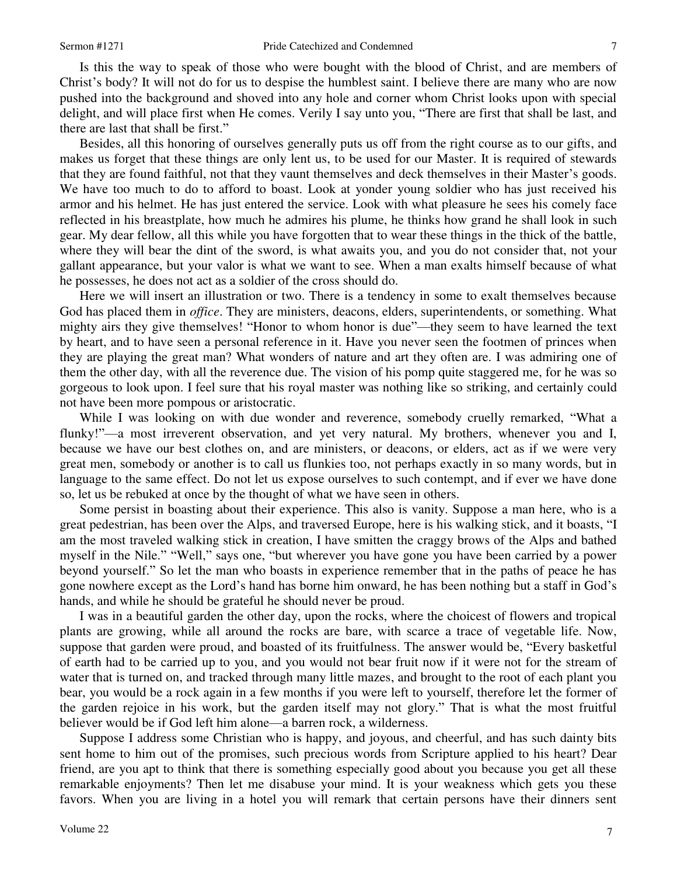7

 Is this the way to speak of those who were bought with the blood of Christ, and are members of Christ's body? It will not do for us to despise the humblest saint. I believe there are many who are now pushed into the background and shoved into any hole and corner whom Christ looks upon with special delight, and will place first when He comes. Verily I say unto you, "There are first that shall be last, and there are last that shall be first."

 Besides, all this honoring of ourselves generally puts us off from the right course as to our gifts, and makes us forget that these things are only lent us, to be used for our Master. It is required of stewards that they are found faithful, not that they vaunt themselves and deck themselves in their Master's goods. We have too much to do to afford to boast. Look at yonder young soldier who has just received his armor and his helmet. He has just entered the service. Look with what pleasure he sees his comely face reflected in his breastplate, how much he admires his plume, he thinks how grand he shall look in such gear. My dear fellow, all this while you have forgotten that to wear these things in the thick of the battle, where they will bear the dint of the sword, is what awaits you, and you do not consider that, not your gallant appearance, but your valor is what we want to see. When a man exalts himself because of what he possesses, he does not act as a soldier of the cross should do.

Here we will insert an illustration or two. There is a tendency in some to exalt themselves because God has placed them in *office*. They are ministers, deacons, elders, superintendents, or something. What mighty airs they give themselves! "Honor to whom honor is due"—they seem to have learned the text by heart, and to have seen a personal reference in it. Have you never seen the footmen of princes when they are playing the great man? What wonders of nature and art they often are. I was admiring one of them the other day, with all the reverence due. The vision of his pomp quite staggered me, for he was so gorgeous to look upon. I feel sure that his royal master was nothing like so striking, and certainly could not have been more pompous or aristocratic.

While I was looking on with due wonder and reverence, somebody cruelly remarked, "What a flunky!"—a most irreverent observation, and yet very natural. My brothers, whenever you and I, because we have our best clothes on, and are ministers, or deacons, or elders, act as if we were very great men, somebody or another is to call us flunkies too, not perhaps exactly in so many words, but in language to the same effect. Do not let us expose ourselves to such contempt, and if ever we have done so, let us be rebuked at once by the thought of what we have seen in others.

Some persist in boasting about their experience. This also is vanity. Suppose a man here, who is a great pedestrian, has been over the Alps, and traversed Europe, here is his walking stick, and it boasts, "I am the most traveled walking stick in creation, I have smitten the craggy brows of the Alps and bathed myself in the Nile." "Well," says one, "but wherever you have gone you have been carried by a power beyond yourself." So let the man who boasts in experience remember that in the paths of peace he has gone nowhere except as the Lord's hand has borne him onward, he has been nothing but a staff in God's hands, and while he should be grateful he should never be proud.

I was in a beautiful garden the other day, upon the rocks, where the choicest of flowers and tropical plants are growing, while all around the rocks are bare, with scarce a trace of vegetable life. Now, suppose that garden were proud, and boasted of its fruitfulness. The answer would be, "Every basketful of earth had to be carried up to you, and you would not bear fruit now if it were not for the stream of water that is turned on, and tracked through many little mazes, and brought to the root of each plant you bear, you would be a rock again in a few months if you were left to yourself, therefore let the former of the garden rejoice in his work, but the garden itself may not glory." That is what the most fruitful believer would be if God left him alone—a barren rock, a wilderness.

Suppose I address some Christian who is happy, and joyous, and cheerful, and has such dainty bits sent home to him out of the promises, such precious words from Scripture applied to his heart? Dear friend, are you apt to think that there is something especially good about you because you get all these remarkable enjoyments? Then let me disabuse your mind. It is your weakness which gets you these favors. When you are living in a hotel you will remark that certain persons have their dinners sent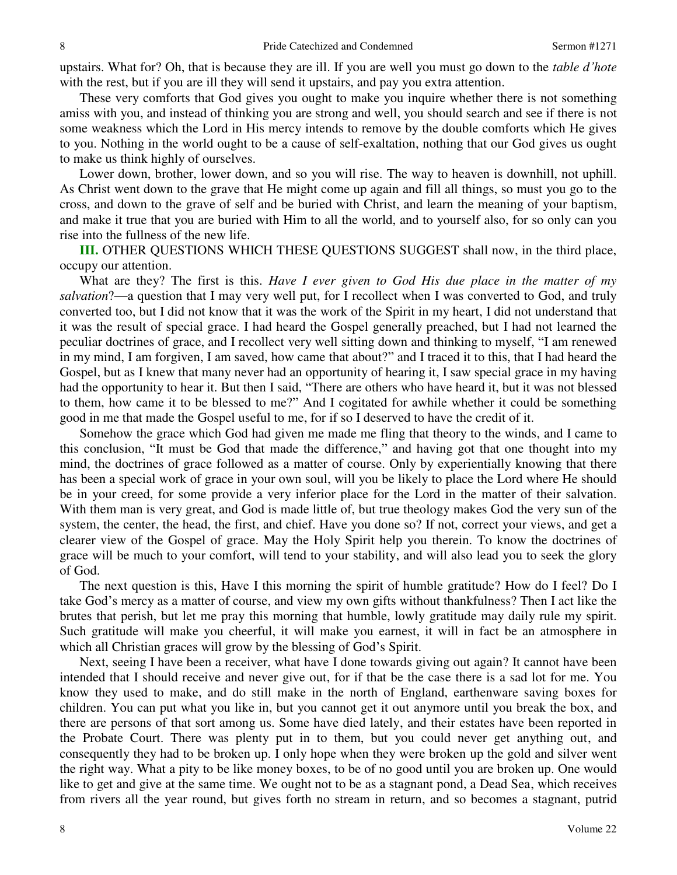upstairs. What for? Oh, that is because they are ill. If you are well you must go down to the *table d'hote*  with the rest, but if you are ill they will send it upstairs, and pay you extra attention.

These very comforts that God gives you ought to make you inquire whether there is not something amiss with you, and instead of thinking you are strong and well, you should search and see if there is not some weakness which the Lord in His mercy intends to remove by the double comforts which He gives to you. Nothing in the world ought to be a cause of self-exaltation, nothing that our God gives us ought to make us think highly of ourselves.

Lower down, brother, lower down, and so you will rise. The way to heaven is downhill, not uphill. As Christ went down to the grave that He might come up again and fill all things, so must you go to the cross, and down to the grave of self and be buried with Christ, and learn the meaning of your baptism, and make it true that you are buried with Him to all the world, and to yourself also, for so only can you rise into the fullness of the new life.

**III.** OTHER QUESTIONS WHICH THESE QUESTIONS SUGGEST shall now, in the third place, occupy our attention.

What are they? The first is this. *Have I ever given to God His due place in the matter of my salvation*?—a question that I may very well put, for I recollect when I was converted to God, and truly converted too, but I did not know that it was the work of the Spirit in my heart, I did not understand that it was the result of special grace. I had heard the Gospel generally preached, but I had not learned the peculiar doctrines of grace, and I recollect very well sitting down and thinking to myself, "I am renewed in my mind, I am forgiven, I am saved, how came that about?" and I traced it to this, that I had heard the Gospel, but as I knew that many never had an opportunity of hearing it, I saw special grace in my having had the opportunity to hear it. But then I said, "There are others who have heard it, but it was not blessed to them, how came it to be blessed to me?" And I cogitated for awhile whether it could be something good in me that made the Gospel useful to me, for if so I deserved to have the credit of it.

Somehow the grace which God had given me made me fling that theory to the winds, and I came to this conclusion, "It must be God that made the difference," and having got that one thought into my mind, the doctrines of grace followed as a matter of course. Only by experientially knowing that there has been a special work of grace in your own soul, will you be likely to place the Lord where He should be in your creed, for some provide a very inferior place for the Lord in the matter of their salvation. With them man is very great, and God is made little of, but true theology makes God the very sun of the system, the center, the head, the first, and chief. Have you done so? If not, correct your views, and get a clearer view of the Gospel of grace. May the Holy Spirit help you therein. To know the doctrines of grace will be much to your comfort, will tend to your stability, and will also lead you to seek the glory of God.

The next question is this, Have I this morning the spirit of humble gratitude? How do I feel? Do I take God's mercy as a matter of course, and view my own gifts without thankfulness? Then I act like the brutes that perish, but let me pray this morning that humble, lowly gratitude may daily rule my spirit. Such gratitude will make you cheerful, it will make you earnest, it will in fact be an atmosphere in which all Christian graces will grow by the blessing of God's Spirit.

Next, seeing I have been a receiver, what have I done towards giving out again? It cannot have been intended that I should receive and never give out, for if that be the case there is a sad lot for me. You know they used to make, and do still make in the north of England, earthenware saving boxes for children. You can put what you like in, but you cannot get it out anymore until you break the box, and there are persons of that sort among us. Some have died lately, and their estates have been reported in the Probate Court. There was plenty put in to them, but you could never get anything out, and consequently they had to be broken up. I only hope when they were broken up the gold and silver went the right way. What a pity to be like money boxes, to be of no good until you are broken up. One would like to get and give at the same time. We ought not to be as a stagnant pond, a Dead Sea, which receives from rivers all the year round, but gives forth no stream in return, and so becomes a stagnant, putrid